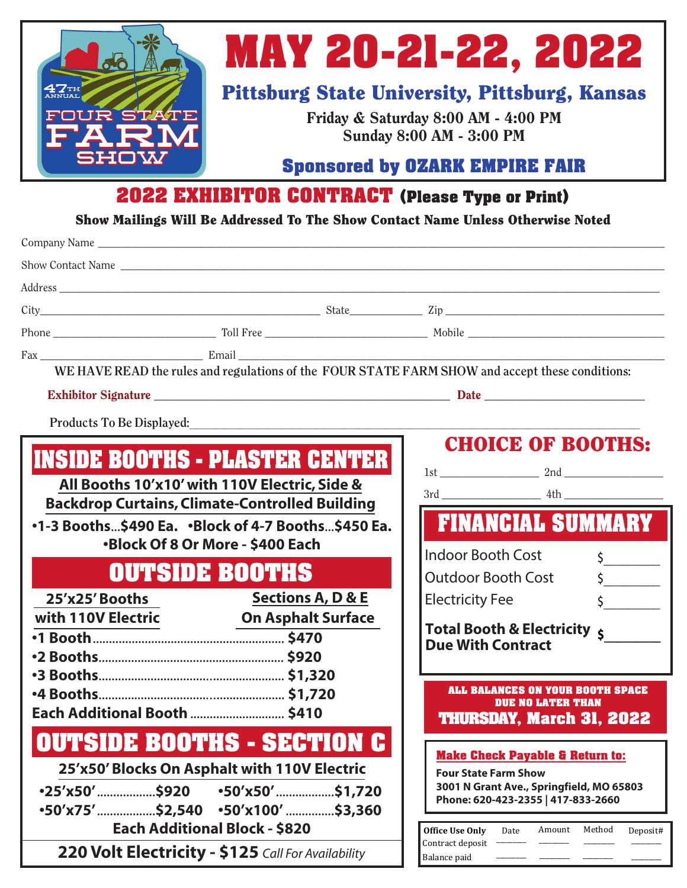

# **MAY 20-21-22, 2022**

## Pittsburg State University, Pittsburg, Kansas

Friday & Saturday 8:00 AM - 4:00 PM Sunday 8:00 AM - 3:00 PM

#### **Sponsored by OZARK EMPIRE FAIR**

### **2022 EXHIBITOR CONTRACT (Please Type or Print)**

Show Mailings Will Be Addressed To The Show Contact Name Unless Otherwise Noted

| Company Name                                                                                    |                                                    |                                                                                    |
|-------------------------------------------------------------------------------------------------|----------------------------------------------------|------------------------------------------------------------------------------------|
|                                                                                                 |                                                    |                                                                                    |
|                                                                                                 |                                                    |                                                                                    |
|                                                                                                 |                                                    |                                                                                    |
|                                                                                                 |                                                    |                                                                                    |
|                                                                                                 |                                                    |                                                                                    |
| WE HAVE READ the rules and regulations of the FOUR STATE FARM SHOW and accept these conditions: |                                                    |                                                                                    |
|                                                                                                 |                                                    |                                                                                    |
| Products To Be Displayed:                                                                       |                                                    |                                                                                    |
|                                                                                                 |                                                    | <b>CHOICE OF BOOTHS:</b>                                                           |
| <b>INSIDE BOOTHS - PLASTER CENTER</b>                                                           |                                                    |                                                                                    |
|                                                                                                 | All Booths 10'x10' with 110V Electric, Side &      |                                                                                    |
| <b>Backdrop Curtains, Climate-Controlled Building</b>                                           |                                                    |                                                                                    |
| •1-3 Booths\$490 Ea. •Block of 4-7 Booths\$450 Ea.                                              |                                                    | <b>FINANCIAL SUMMARY</b>                                                           |
|                                                                                                 | <b>.Block Of 8 Or More - \$400 Each</b>            | <b>Indoor Booth Cost</b><br>$\frac{1}{2}$                                          |
|                                                                                                 | <b>OUTSIDE BOOTHS</b>                              | $\frac{1}{2}$<br><b>Outdoor Booth Cost</b>                                         |
| 25'x25' Booths                                                                                  | <b>Sections A, D &amp; E</b>                       | $\frac{1}{2}$<br><b>Electricity Fee</b>                                            |
| with 110V Electric                                                                              | <b>On Asphalt Surface</b>                          | Total Booth & Electricity 5                                                        |
|                                                                                                 |                                                    | <b>Due With Contract</b>                                                           |
|                                                                                                 |                                                    |                                                                                    |
|                                                                                                 |                                                    | <b>ALL BALANCES ON YOUR BOOTH SPACE</b>                                            |
| Each Additional Booth  \$410                                                                    |                                                    | <b>DUE NO LATER THAN</b>                                                           |
|                                                                                                 |                                                    | <b>THURSDAY, March 31, 2022</b>                                                    |
| <b>OUTSIDE BOOTHS - SECTION C</b>                                                               |                                                    | <b>Make Check Payable &amp; Return to:</b>                                         |
| 25'x50' Blocks On Asphalt with 110V Electric                                                    |                                                    | <b>Four State Farm Show</b>                                                        |
| •25′x50′………………\$920<br>$\cdot$ 50′x50′\$1,720                                                   |                                                    | 3001 N Grant Ave., Springfield, MO 65803<br>Phone: 620-423-2355   417-833-2660     |
| $•50x75'$ \$2,540 $•50x100'$ \$3,360                                                            |                                                    |                                                                                    |
| <b>Each Additional Block - \$820</b>                                                            |                                                    | <b>Office Use Only</b><br>Method<br>Amount<br>Date<br>Deposit#<br>Contract deposit |
|                                                                                                 | 220 Volt Electricity - \$125 Call For Availability | Balance paid                                                                       |